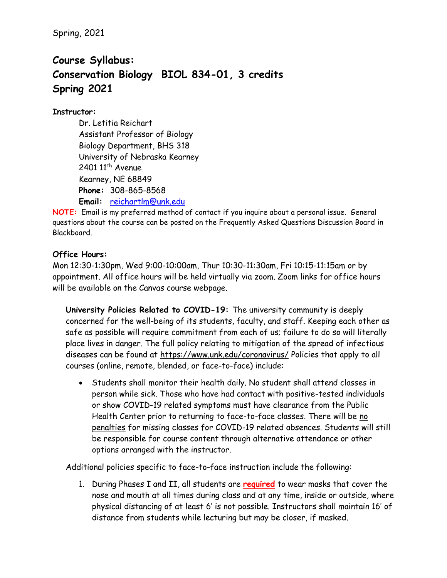Spring, 2021

# **Course Syllabus: Conservation Biology BIOL 834-01, 3 credits Spring 2021**

## **Instructor:**

Dr. Letitia Reichart Assistant Professor of Biology Biology Department, BHS 318 University of Nebraska Kearney  $2401$   $11<sup>th</sup>$  Avenue Kearney, NE 68849 **Phone:** 308-865-8568 **Email:** [reichartlm@unk.edu](mailto:reichartlm@unk.edu)

**NOTE:** Email is my preferred method of contact if you inquire about a personal issue. General questions about the course can be posted on the Frequently Asked Questions Discussion Board in Blackboard.

## **Office Hours:**

Mon 12:30-1:30pm, Wed 9:00-10:00am, Thur 10:30-11:30am, Fri 10:15-11:15am or by appointment. All office hours will be held virtually via zoom. Zoom links for office hours will be available on the Canvas course webpage.

**University Policies Related to COVID-19:** The university community is deeply concerned for the well-being of its students, faculty, and staff. Keeping each other as safe as possible will require commitment from each of us; failure to do so will literally place lives in danger. The full policy relating to mitigation of the spread of infectious diseases can be found at <https://www.unk.edu/coronavirus/> Policies that apply to all courses (online, remote, blended, or face-to-face) include:

• Students shall monitor their health daily. No student shall attend classes in person while sick. Those who have had contact with positive-tested individuals or show COVID-19 related symptoms must have clearance from the Public Health Center prior to returning to face-to-face classes. There will be no penalties for missing classes for COVID-19 related absences. Students will still be responsible for course content through alternative attendance or other options arranged with the instructor.

Additional policies specific to face-to-face instruction include the following:

1. During Phases I and II, all students are **required** to wear masks that cover the nose and mouth at all times during class and at any time, inside or outside, where physical distancing of at least 6' is not possible. Instructors shall maintain 16' of distance from students while lecturing but may be closer, if masked.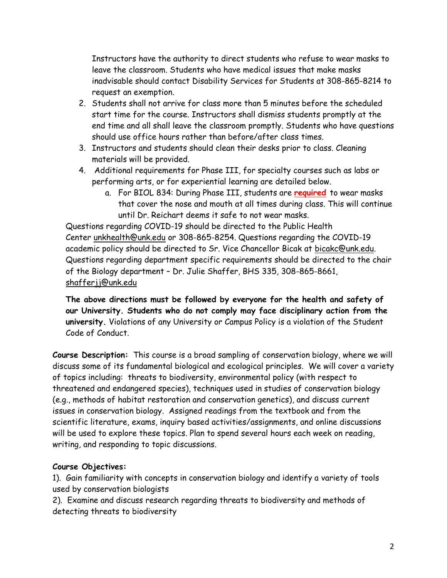Instructors have the authority to direct students who refuse to wear masks to leave the classroom. Students who have medical issues that make masks inadvisable should contact Disability Services for Students at 308-865-8214 to request an exemption.

- 2. Students shall not arrive for class more than 5 minutes before the scheduled start time for the course. Instructors shall dismiss students promptly at the end time and all shall leave the classroom promptly. Students who have questions should use office hours rather than before/after class times.
- 3. Instructors and students should clean their desks prior to class. Cleaning materials will be provided.
- 4. Additional requirements for Phase III, for specialty courses such as labs or performing arts, or for experiential learning are detailed below.
	- a. For BIOL 834: During Phase III, students are **required** to wear masks that cover the nose and mouth at all times during class. This will continue until Dr. Reichart deems it safe to not wear masks.

Questions regarding COVID-19 should be directed to the Public Health Center [unkhealth@unk.edu](mailto:unkhealth@unk.edu) or 308-865-8254. Questions regarding the COVID-19 academic policy should be directed to Sr. Vice Chancellor Bicak at [bicakc@unk.edu.](mailto:bicakc@unk.edu) Questions regarding department specific requirements should be directed to the chair of the Biology department – Dr. Julie Shaffer, BHS 335, 308-865-8661, [shafferjj@unk.edu](mailto:shafferjj@unk.edu)

**The above directions must be followed by everyone for the health and safety of our University. Students who do not comply may face disciplinary action from the university.** Violations of any University or Campus Policy is a violation of the Student Code of Conduct.

**Course Description:** This course is a broad sampling of conservation biology, where we will discuss some of its fundamental biological and ecological principles. We will cover a variety of topics including: threats to biodiversity, environmental policy (with respect to threatened and endangered species), techniques used in studies of conservation biology (e.g., methods of habitat restoration and conservation genetics), and discuss current issues in conservation biology. Assigned readings from the textbook and from the scientific literature, exams, inquiry based activities/assignments, and online discussions will be used to explore these topics. Plan to spend several hours each week on reading, writing, and responding to topic discussions.

## **Course Objectives:**

1). Gain familiarity with concepts in conservation biology and identify a variety of tools used by conservation biologists

2). Examine and discuss research regarding threats to biodiversity and methods of detecting threats to biodiversity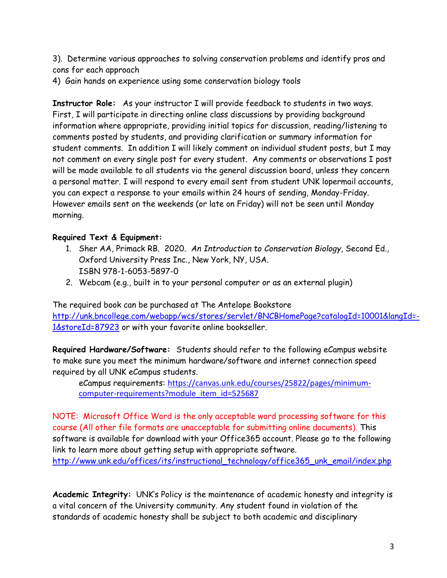3). Determine various approaches to solving conservation problems and identify pros and cons for each approach

4) Gain hands on experience using some conservation biology tools

**Instructor Role:** As your instructor I will provide feedback to students in two ways. First, I will participate in directing online class discussions by providing background information where appropriate, providing initial topics for discussion, reading/listening to comments posted by students, and providing clarification or summary information for student comments. In addition I will likely comment on individual student posts, but I may not comment on every single post for every student. Any comments or observations I post will be made available to all students via the general discussion board, unless they concern a personal matter. I will respond to every email sent from student UNK lopermail accounts, you can expect a response to your emails within 24 hours of sending, Monday-Friday. However emails sent on the weekends (or late on Friday) will not be seen until Monday morning.

## **Required Text & Equipment:**

- 1. Sher AA, Primack RB. 2020. *An Introduction to Conservation Biology*, Second Ed., Oxford University Press Inc., New York, NY, USA. ISBN 978-1-6053-5897-0
- 2. Webcam (e.g., built in to your personal computer or as an external plugin)

The required book can be purchased at The Antelope Bookstore [http://unk.bncollege.com/webapp/wcs/stores/servlet/BNCBHomePage?catalogId=10001&langId=-](http://unk.bncollege.com/webapp/wcs/stores/servlet/BNCBHomePage?catalogId=10001&langId=-1&storeId=87923) [1&storeId=87923](http://unk.bncollege.com/webapp/wcs/stores/servlet/BNCBHomePage?catalogId=10001&langId=-1&storeId=87923) or with your favorite online bookseller.

**Required Hardware/Software:** Students should refer to the following eCampus website to make sure you meet the minimum hardware/software and internet connection speed required by all UNK eCampus students.

eCampus requirements: [https://canvas.unk.edu/courses/25822/pages/minimum](https://canvas.unk.edu/courses/25822/pages/minimum-computer-requirements?module_item_id=525687)[computer-requirements?module\\_item\\_id=525687](https://canvas.unk.edu/courses/25822/pages/minimum-computer-requirements?module_item_id=525687)

NOTE: Microsoft Office Word is the only acceptable word processing software for this course (All other file formats are unacceptable for submitting online documents). This software is available for download with your Office365 account. Please go to the following link to learn more about getting setup with appropriate software.

[http://www.unk.edu/offices/its/instructional\\_technology/office365\\_unk\\_email/index.php](http://www.unk.edu/offices/its/instructional_technology/office365_unk_email/index.php)

**Academic Integrity:** UNK's Policy is the maintenance of academic honesty and integrity is a vital concern of the University community. Any student found in violation of the standards of academic honesty shall be subject to both academic and disciplinary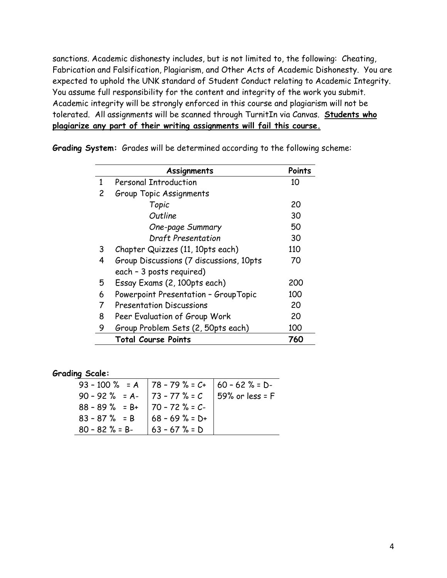sanctions. Academic dishonesty includes, but is not limited to, the following: Cheating, Fabrication and Falsification, Plagiarism, and Other Acts of Academic Dishonesty. You are expected to uphold the UNK standard of Student Conduct relating to Academic Integrity. You assume full responsibility for the content and integrity of the work you submit. Academic integrity will be strongly enforced in this course and plagiarism will not be tolerated. All assignments will be scanned through TurnitIn via Canvas. **Students who plagiarize any part of their writing assignments will fail this course.**

|   | Assignments                             | Points |
|---|-----------------------------------------|--------|
| 1 | <b>Personal Introduction</b>            | 10     |
| 2 | Group Topic Assignments                 |        |
|   | Topic                                   | 20     |
|   | Outline                                 | 30     |
|   | One-page Summary                        | 50     |
|   | Draft Presentation                      | 30     |
| 3 | Chapter Quizzes (11, 10pts each)        | 110    |
| 4 | Group Discussions (7 discussions, 10pts | 70     |
|   | each - 3 posts required)                |        |
| 5 | Essay Exams (2, 100pts each)            | 200    |
| 6 | Powerpoint Presentation - GroupTopic    | 100    |
| 7 | <b>Presentation Discussions</b>         | 20     |
| 8 | Peer Evaluation of Group Work           | 20     |
| 9 | Group Problem Sets (2, 50pts each)      | 100    |
|   | <b>Total Course Points</b>              | 760    |

**Grading System:** Grades will be determined according to the following scheme:

#### **Grading Scale:**

| 93 - 100 % = A 78 - 79 % = C+ 60 - 62 % = D-<br>90 - 92 % = A- 73 - 77 % = C 59% or less = F<br>88 - 89 % = B+ 70 - 72 % = C-<br>83 - 87 % = B 68 - 69 % = D+<br>$80 - 82$ % = B- $\big  63 - 67$ % = D |
|---------------------------------------------------------------------------------------------------------------------------------------------------------------------------------------------------------|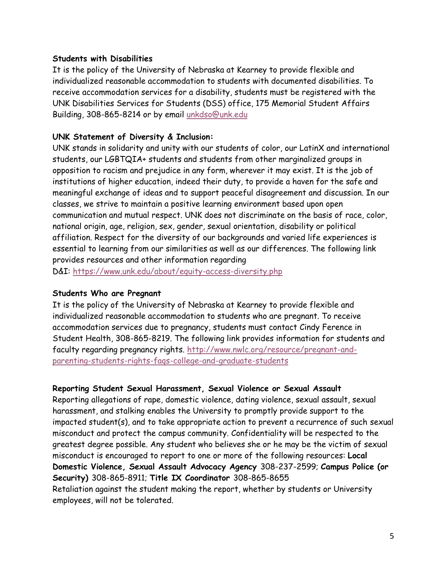#### **Students with Disabilities**

It is the policy of the University of Nebraska at Kearney to provide flexible and individualized reasonable accommodation to students with documented disabilities. To receive accommodation services for a disability, students must be registered with the UNK Disabilities Services for Students (DSS) office, 175 Memorial Student Affairs Building, 308-865-8214 or by email [unkdso@unk.edu](mailto:unkdso@unk.edu)

### **UNK Statement of Diversity & Inclusion:**

UNK stands in solidarity and unity with our students of color, our LatinX and international students, our LGBTQIA+ students and students from other marginalized groups in opposition to racism and prejudice in any form, wherever it may exist. It is the job of institutions of higher education, indeed their duty, to provide a haven for the safe and meaningful exchange of ideas and to support peaceful disagreement and discussion. In our classes, we strive to maintain a positive learning environment based upon open communication and mutual respect. UNK does not discriminate on the basis of race, color, national origin, age, religion, sex, gender, sexual orientation, disability or political affiliation. Respect for the diversity of our backgrounds and varied life experiences is essential to learning from our similarities as well as our differences. The following link provides resources and other information regarding

D&I: <https://www.unk.edu/about/equity-access-diversity.php>

#### **Students Who are Pregnant**

It is the policy of the University of Nebraska at Kearney to provide flexible and individualized reasonable accommodation to students who are pregnant. To receive accommodation services due to pregnancy, students must contact Cindy Ference in Student Health, 308-865-8219. The following link provides information for students and faculty regarding pregnancy rights. [http://www.nwlc.org/resource/pregnant-and](https://urldefense.proofpoint.com/v2/url?u=http-3A__www.nwlc.org_resource_pregnant-2Dand-2Dparenting-2Dstudents-2Drights-2Dfaqs-2Dcollege-2Dand-2Dgraduate-2Dstudents&d=DwMFAg&c=Cu5g146wZdoqVuKpTNsYHeFX_rg6kWhlkLF8Eft-wwo&r=BJkIhAaMtWY7PlqIhIOyVw&m=RgBL3s2VNHfvD5ReMK2q_PhwYU8dbEt1vxs1BO4WkpQ&s=MmB91XAzaW-E7UPMXPGx9tWJQbTWJYyYzM8gLjhEzQ0&e=)[parenting-students-rights-faqs-college-and-graduate-students](https://urldefense.proofpoint.com/v2/url?u=http-3A__www.nwlc.org_resource_pregnant-2Dand-2Dparenting-2Dstudents-2Drights-2Dfaqs-2Dcollege-2Dand-2Dgraduate-2Dstudents&d=DwMFAg&c=Cu5g146wZdoqVuKpTNsYHeFX_rg6kWhlkLF8Eft-wwo&r=BJkIhAaMtWY7PlqIhIOyVw&m=RgBL3s2VNHfvD5ReMK2q_PhwYU8dbEt1vxs1BO4WkpQ&s=MmB91XAzaW-E7UPMXPGx9tWJQbTWJYyYzM8gLjhEzQ0&e=)

#### **Reporting Student Sexual Harassment, Sexual Violence or Sexual Assault**

Reporting allegations of rape, domestic violence, dating violence, sexual assault, sexual harassment, and stalking enables the University to promptly provide support to the impacted student(s), and to take appropriate action to prevent a recurrence of such sexual misconduct and protect the campus community. Confidentiality will be respected to the greatest degree possible. Any student who believes she or he may be the victim of sexual misconduct is encouraged to report to one or more of the following resources: **Local Domestic Violence, Sexual Assault Advocacy Agency** 308-237-2599; **Campus Police (or Security)** 308-865-8911; **Title IX Coordinator** 308-865-8655 Retaliation against the student making the report, whether by students or University employees, will not be tolerated.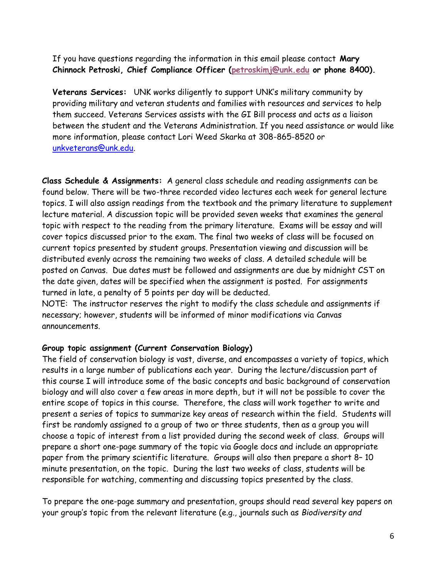If you have questions regarding the information in this email please contact **Mary Chinnock Petroski, Chief Compliance Officer [\(petroskimj@unk.edu](mailto:petroskimj@unk.edu) or phone 8400).**

**Veterans Services:** UNK works diligently to support UNK's military community by providing military and veteran students and families with resources and services to help them succeed. Veterans Services assists with the GI Bill process and acts as a liaison between the student and the Veterans Administration. If you need assistance or would like more information, please contact Lori Weed Skarka at 308-865-8520 or [unkveterans@unk.edu.](mailto:unkveterans@unk.edu)

**Class Schedule & Assignments:** A general class schedule and reading assignments can be found below. There will be two-three recorded video lectures each week for general lecture topics. I will also assign readings from the textbook and the primary literature to supplement lecture material. A discussion topic will be provided seven weeks that examines the general topic with respect to the reading from the primary literature. Exams will be essay and will cover topics discussed prior to the exam. The final two weeks of class will be focused on current topics presented by student groups. Presentation viewing and discussion will be distributed evenly across the remaining two weeks of class. A detailed schedule will be posted on Canvas. Due dates must be followed and assignments are due by midnight CST on the date given, dates will be specified when the assignment is posted. For assignments turned in late, a penalty of 5 points per day will be deducted. NOTE: The instructor reserves the right to modify the class schedule and assignments if necessary; however, students will be informed of minor modifications via Canvas

### **Group topic assignment (Current Conservation Biology)**

announcements.

The field of conservation biology is vast, diverse, and encompasses a variety of topics, which results in a large number of publications each year. During the lecture/discussion part of this course I will introduce some of the basic concepts and basic background of conservation biology and will also cover a few areas in more depth, but it will not be possible to cover the entire scope of topics in this course. Therefore, the class will work together to write and present a series of topics to summarize key areas of research within the field. Students will first be randomly assigned to a group of two or three students, then as a group you will choose a topic of interest from a list provided during the second week of class. Groups will prepare a short one-page summary of the topic via Google docs and include an appropriate paper from the primary scientific literature. Groups will also then prepare a short 8– 10 minute presentation, on the topic. During the last two weeks of class, students will be responsible for watching, commenting and discussing topics presented by the class.

To prepare the one-page summary and presentation, groups should read several key papers on your group's topic from the relevant literature (e.g., journals such as *Biodiversity and*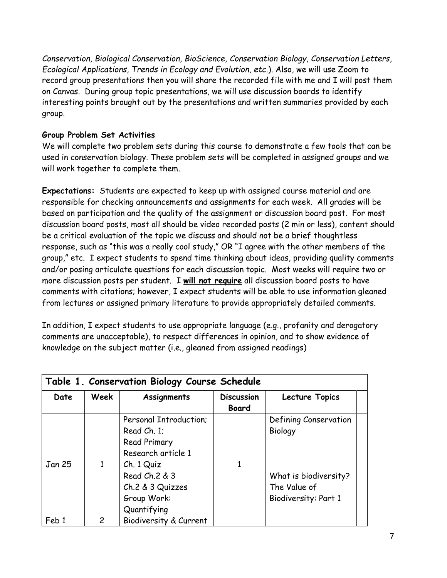*Conservation, Biological Conservation, BioScience, Conservation Biology, Conservation Letters, Ecological Applications, Trends in Ecology and Evolution, etc.*). Also, we will use Zoom to record group presentations then you will share the recorded file with me and I will post them on Canvas. During group topic presentations, we will use discussion boards to identify interesting points brought out by the presentations and written summaries provided by each group.

## **Group Problem Set Activities**

We will complete two problem sets during this course to demonstrate a few tools that can be used in conservation biology. These problem sets will be completed in assigned groups and we will work together to complete them.

**Expectations:** Students are expected to keep up with assigned course material and are responsible for checking announcements and assignments for each week. All grades will be based on participation and the quality of the assignment or discussion board post. For most discussion board posts, most all should be video recorded posts (2 min or less), content should be a critical evaluation of the topic we discuss and should not be a brief thoughtless response, such as "this was a really cool study," OR "I agree with the other members of the group," etc. I expect students to spend time thinking about ideas, providing quality comments and/or posing articulate questions for each discussion topic. Most weeks will require two or more discussion posts per student. I **will not require** all discussion board posts to have comments with citations; however, I expect students will be able to use information gleaned from lectures or assigned primary literature to provide appropriately detailed comments.

In addition, I expect students to use appropriate language (e.g., profanity and derogatory comments are unacceptable), to respect differences in opinion, and to show evidence of knowledge on the subject matter (i.e., gleaned from assigned readings)

| Table 1. Conservation Biology Course Schedule |              |                        |                                   |                       |  |
|-----------------------------------------------|--------------|------------------------|-----------------------------------|-----------------------|--|
| Date                                          | Week         | Assignments            | <b>Discussion</b><br><b>Board</b> | Lecture Topics        |  |
|                                               |              | Personal Introduction; |                                   | Defining Conservation |  |
|                                               |              | Read Ch. 1;            |                                   | <b>Biology</b>        |  |
|                                               |              | <b>Read Primary</b>    |                                   |                       |  |
|                                               |              | Research article 1     |                                   |                       |  |
| Jan 25                                        | 1            | Ch. 1 Quiz             |                                   |                       |  |
|                                               |              | Read Ch. 2 & 3         |                                   | What is biodiversity? |  |
|                                               |              | Ch.2 & 3 Quizzes       |                                   | The Value of          |  |
|                                               |              | Group Work:            |                                   | Biodiversity: Part 1  |  |
|                                               |              | Quantifying            |                                   |                       |  |
| Feb 1                                         | $\mathsf{2}$ | Biodiversity & Current |                                   |                       |  |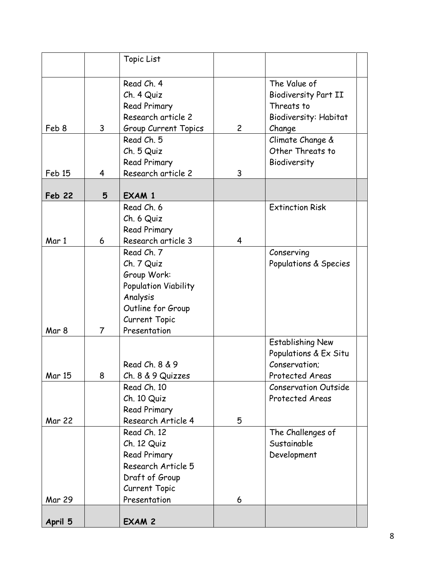|               |                | Topic List                                                                                                                        |                |                                                                                              |
|---------------|----------------|-----------------------------------------------------------------------------------------------------------------------------------|----------------|----------------------------------------------------------------------------------------------|
| Feb 8         | 3              | Read Ch. 4<br>Ch. 4 Quiz<br>Read Primary<br>Research article 2<br>Group Current Topics                                            | $\overline{c}$ | The Value of<br><b>Biodiversity Part II</b><br>Threats to<br>Biodiversity: Habitat<br>Change |
| Feb 15        | 4              | Read Ch. 5<br>Ch. 5 Quiz<br>Read Primary<br>Research article 2                                                                    | 3              | Climate Change &<br>Other Threats to<br>Biodiversity                                         |
| <b>Feb 22</b> | 5              | <b>EXAM 1</b>                                                                                                                     |                |                                                                                              |
| Mar 1         | 6              | Read Ch. 6<br>Ch. 6 Quiz<br>Read Primary<br>Research article 3                                                                    | 4              | <b>Extinction Risk</b>                                                                       |
| Mar 8         | $\overline{7}$ | Read Ch. 7<br>Ch. 7 Quiz<br>Group Work:<br>Population Viability<br>Analysis<br>Outline for Group<br>Current Topic<br>Presentation |                | Conserving<br>Populations & Species                                                          |
| <b>Mar 15</b> | 8              | Read Ch. 8 & 9<br>Ch. 8 & 9 Quizzes                                                                                               |                | <b>Establishing New</b><br>Populations & Ex Situ<br>Conservation;<br>Protected Areas         |
| Mar 22        |                | Read Ch. 10<br>Ch. 10 Quiz<br><b>Read Primary</b><br>Research Article 4                                                           | 5              | <b>Conservation Outside</b><br>Protected Areas                                               |
| <b>Mar 29</b> |                | Read Ch. 12<br>Ch. 12 Quiz<br><b>Read Primary</b><br>Research Article 5<br>Draft of Group<br>Current Topic<br>Presentation        | 6              | The Challenges of<br>Sustainable<br>Development                                              |
| April 5       |                | EXAM 2                                                                                                                            |                |                                                                                              |